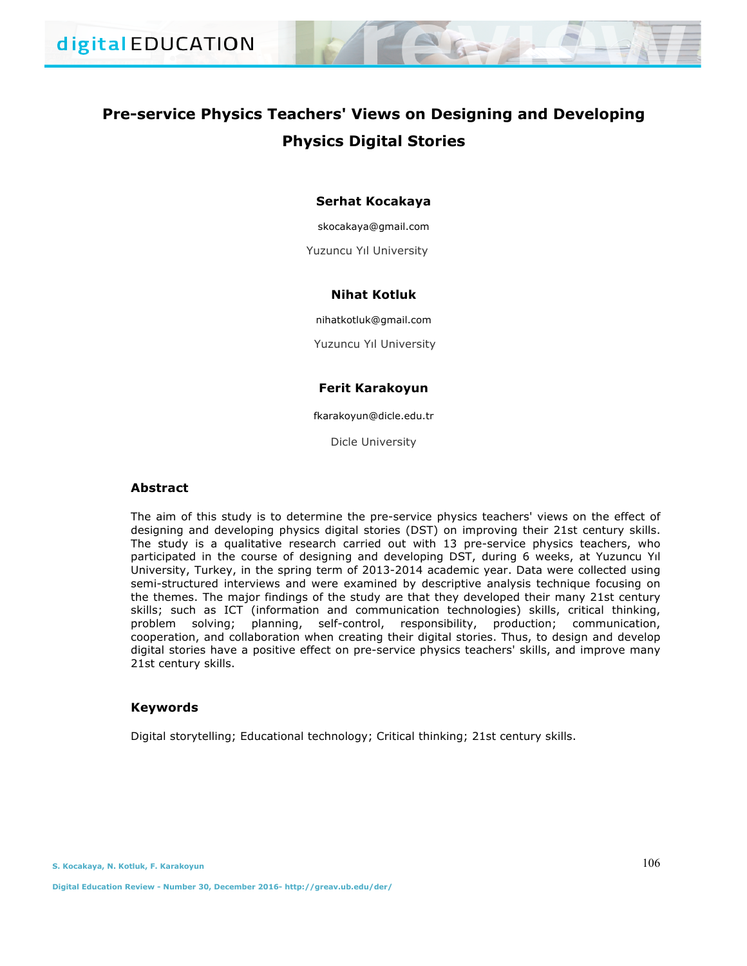# **Pre-service Physics Teachers' Views on Designing and Developing Physics Digital Stories**

# **Serhat Kocakaya**

skocakaya@gmail.com

Yuzuncu Yıl University

# **Nihat Kotluk**

nihatkotluk@gmail.com

Yuzuncu Yıl University

# **Ferit Karakoyun**

fkarakoyun@dicle.edu.tr

Dicle University

# **Abstract**

The aim of this study is to determine the pre-service physics teachers' views on the effect of designing and developing physics digital stories (DST) on improving their 21st century skills. The study is a qualitative research carried out with 13 pre-service physics teachers, who participated in the course of designing and developing DST, during 6 weeks, at Yuzuncu Yıl University, Turkey, in the spring term of 2013-2014 academic year. Data were collected using semi-structured interviews and were examined by descriptive analysis technique focusing on the themes. The major findings of the study are that they developed their many 21st century skills; such as ICT (information and communication technologies) skills, critical thinking, problem solving; planning, self-control, responsibility, production; communication, cooperation, and collaboration when creating their digital stories. Thus, to design and develop digital stories have a positive effect on pre-service physics teachers' skills, and improve many 21st century skills.

## **Keywords**

Digital storytelling; Educational technology; Critical thinking; 21st century skills.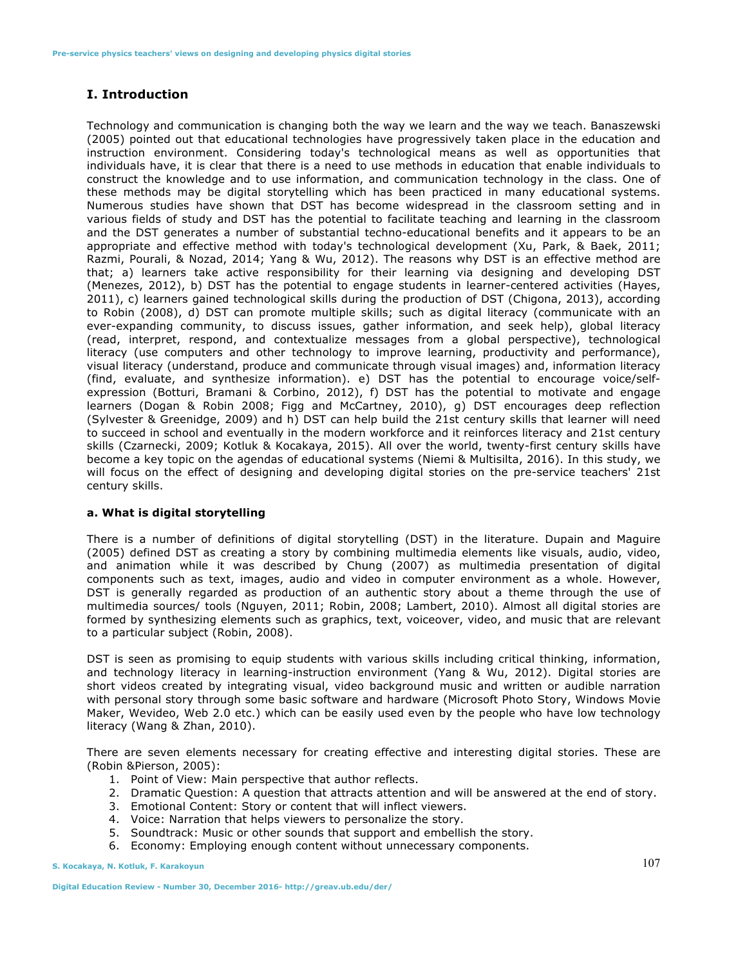# **I. Introduction**

Technology and communication is changing both the way we learn and the way we teach. Banaszewski (2005) pointed out that educational technologies have progressively taken place in the education and instruction environment. Considering today's technological means as well as opportunities that individuals have, it is clear that there is a need to use methods in education that enable individuals to construct the knowledge and to use information, and communication technology in the class. One of these methods may be digital storytelling which has been practiced in many educational systems. Numerous studies have shown that DST has become widespread in the classroom setting and in various fields of study and DST has the potential to facilitate teaching and learning in the classroom and the DST generates a number of substantial techno-educational benefits and it appears to be an appropriate and effective method with today's technological development (Xu, Park, & Baek, 2011; Razmi, Pourali, & Nozad, 2014; Yang & Wu, 2012). The reasons why DST is an effective method are that; a) learners take active responsibility for their learning via designing and developing DST (Menezes, 2012), b) DST has the potential to engage students in learner-centered activities (Hayes, 2011), c) learners gained technological skills during the production of DST (Chigona, 2013), according to Robin (2008), d) DST can promote multiple skills; such as digital literacy (communicate with an ever-expanding community, to discuss issues, gather information, and seek help), global literacy (read, interpret, respond, and contextualize messages from a global perspective), technological literacy (use computers and other technology to improve learning, productivity and performance), visual literacy (understand, produce and communicate through visual images) and, information literacy (find, evaluate, and synthesize information). e) DST has the potential to encourage voice/selfexpression (Botturi, Bramani & Corbino, 2012), f) DST has the potential to motivate and engage learners (Dogan & Robin 2008; Figg and McCartney, 2010), g) DST encourages deep reflection (Sylvester & Greenidge, 2009) and h) DST can help build the 21st century skills that learner will need to succeed in school and eventually in the modern workforce and it reinforces literacy and 21st century skills (Czarnecki, 2009; Kotluk & Kocakaya, 2015). All over the world, twenty-first century skills have become a key topic on the agendas of educational systems (Niemi & Multisilta, 2016). In this study, we will focus on the effect of designing and developing digital stories on the pre-service teachers' 21st century skills.

# **a. What is digital storytelling**

There is a number of definitions of digital storytelling (DST) in the literature. Dupain and Maguire (2005) defined DST as creating a story by combining multimedia elements like visuals, audio, video, and animation while it was described by Chung (2007) as multimedia presentation of digital components such as text, images, audio and video in computer environment as a whole. However, DST is generally regarded as production of an authentic story about a theme through the use of multimedia sources/ tools (Nguyen, 2011; Robin, 2008; Lambert, 2010). Almost all digital stories are formed by synthesizing elements such as graphics, text, voiceover, video, and music that are relevant to a particular subject (Robin, 2008).

DST is seen as promising to equip students with various skills including critical thinking, information, and technology literacy in learning-instruction environment (Yang & Wu, 2012). Digital stories are short videos created by integrating visual, video background music and written or audible narration with personal story through some basic software and hardware (Microsoft Photo Story, Windows Movie Maker, Wevideo, Web 2.0 etc.) which can be easily used even by the people who have low technology literacy (Wang & Zhan, 2010).

There are seven elements necessary for creating effective and interesting digital stories. These are (Robin &Pierson, 2005):

- 1. Point of View: Main perspective that author reflects.
- 2. Dramatic Question: A question that attracts attention and will be answered at the end of story.
- 3. Emotional Content: Story or content that will inflect viewers.
- 4. Voice: Narration that helps viewers to personalize the story.
- 5. Soundtrack: Music or other sounds that support and embellish the story.
- 6. Economy: Employing enough content without unnecessary components.

**S. Kocakaya, N. Kotluk, F. Karakoyun**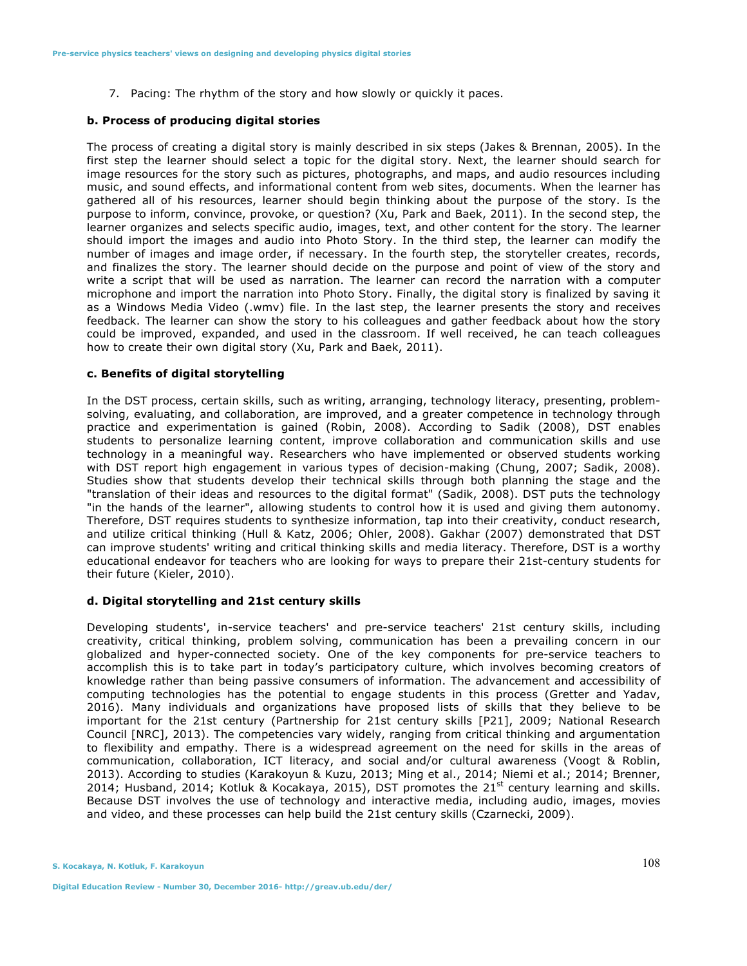7. Pacing: The rhythm of the story and how slowly or quickly it paces.

## **b. Process of producing digital stories**

The process of creating a digital story is mainly described in six steps (Jakes & Brennan, 2005). In the first step the learner should select a topic for the digital story. Next, the learner should search for image resources for the story such as pictures, photographs, and maps, and audio resources including music, and sound effects, and informational content from web sites, documents. When the learner has gathered all of his resources, learner should begin thinking about the purpose of the story. Is the purpose to inform, convince, provoke, or question? (Xu, Park and Baek, 2011). In the second step, the learner organizes and selects specific audio, images, text, and other content for the story. The learner should import the images and audio into Photo Story. In the third step, the learner can modify the number of images and image order, if necessary. In the fourth step, the storyteller creates, records, and finalizes the story. The learner should decide on the purpose and point of view of the story and write a script that will be used as narration. The learner can record the narration with a computer microphone and import the narration into Photo Story. Finally, the digital story is finalized by saving it as a Windows Media Video (.wmv) file. In the last step, the learner presents the story and receives feedback. The learner can show the story to his colleagues and gather feedback about how the story could be improved, expanded, and used in the classroom. If well received, he can teach colleagues how to create their own digital story (Xu, Park and Baek, 2011).

#### **c. Benefits of digital storytelling**

In the DST process, certain skills, such as writing, arranging, technology literacy, presenting, problemsolving, evaluating, and collaboration, are improved, and a greater competence in technology through practice and experimentation is gained (Robin, 2008). According to Sadik (2008), DST enables students to personalize learning content, improve collaboration and communication skills and use technology in a meaningful way. Researchers who have implemented or observed students working with DST report high engagement in various types of decision-making (Chung, 2007; Sadik, 2008). Studies show that students develop their technical skills through both planning the stage and the "translation of their ideas and resources to the digital format" (Sadik, 2008). DST puts the technology "in the hands of the learner", allowing students to control how it is used and giving them autonomy. Therefore, DST requires students to synthesize information, tap into their creativity, conduct research, and utilize critical thinking (Hull & Katz, 2006; Ohler, 2008). Gakhar (2007) demonstrated that DST can improve students' writing and critical thinking skills and media literacy. Therefore, DST is a worthy educational endeavor for teachers who are looking for ways to prepare their 21st-century students for their future (Kieler, 2010).

# **d. Digital storytelling and 21st century skills**

Developing students', in-service teachers' and pre-service teachers' 21st century skills, including creativity, critical thinking, problem solving, communication has been a prevailing concern in our globalized and hyper-connected society. One of the key components for pre-service teachers to accomplish this is to take part in today's participatory culture, which involves becoming creators of knowledge rather than being passive consumers of information. The advancement and accessibility of computing technologies has the potential to engage students in this process (Gretter and Yadav, 2016). Many individuals and organizations have proposed lists of skills that they believe to be important for the 21st century (Partnership for 21st century skills [P21], 2009; National Research Council [NRC], 2013). The competencies vary widely, ranging from critical thinking and argumentation to flexibility and empathy. There is a widespread agreement on the need for skills in the areas of communication, collaboration, ICT literacy, and social and/or cultural awareness (Voogt & Roblin, 2013). According to studies (Karakoyun & Kuzu, 2013; Ming et al., 2014; Niemi et al.; 2014; Brenner, 2014; Husband, 2014; Kotluk & Kocakaya, 2015), DST promotes the  $21^{st}$  century learning and skills. Because DST involves the use of technology and interactive media, including audio, images, movies and video, and these processes can help build the 21st century skills (Czarnecki, 2009).

**S. Kocakaya, N. Kotluk, F. Karakoyun**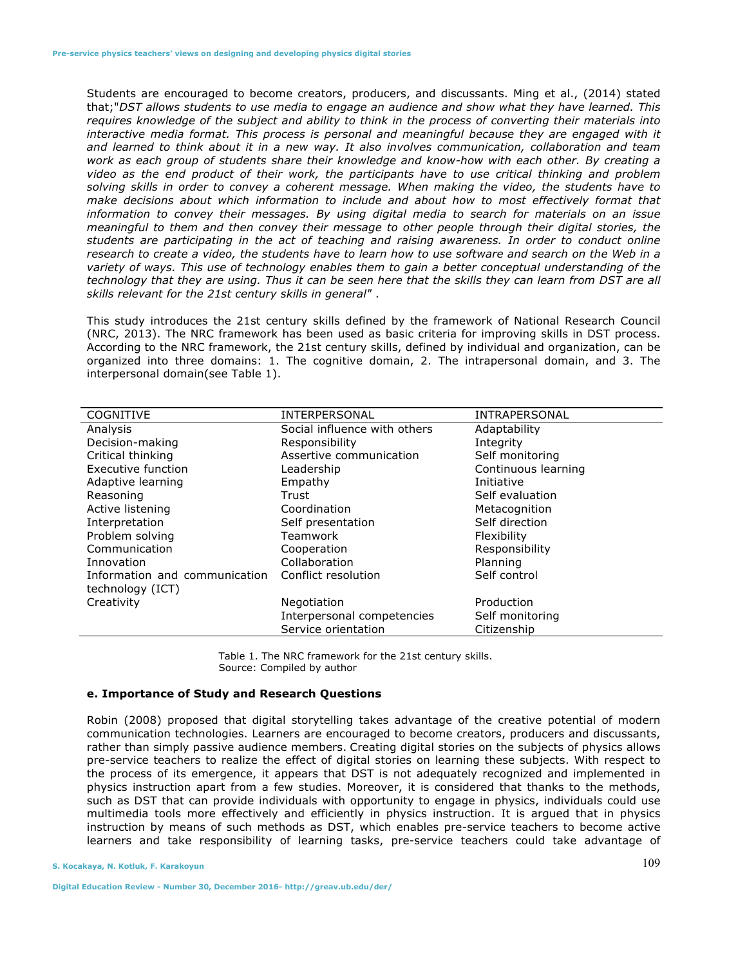Students are encouraged to become creators, producers, and discussants. Ming et al., (2014) stated that;"*DST allows students to use media to engage an audience and show what they have learned. This requires knowledge of the subject and ability to think in the process of converting their materials into*  interactive media format. This process is personal and meaningful because they are engaged with it *and learned to think about it in a new way. It also involves communication, collaboration and team work as each group of students share their knowledge and know-how with each other. By creating a video as the end product of their work, the participants have to use critical thinking and problem solving skills in order to convey a coherent message. When making the video, the students have to make decisions about which information to include and about how to most effectively format that information to convey their messages. By using digital media to search for materials on an issue meaningful to them and then convey their message to other people through their digital stories, the students are participating in the act of teaching and raising awareness. In order to conduct online research to create a video, the students have to learn how to use software and search on the Web in a variety of ways. This use of technology enables them to gain a better conceptual understanding of the technology that they are using. Thus it can be seen here that the skills they can learn from DST are all skills relevant for the 21st century skills in general"* .

This study introduces the 21st century skills defined by the framework of National Research Council (NRC, 2013). The NRC framework has been used as basic criteria for improving skills in DST process. According to the NRC framework, the 21st century skills, defined by individual and organization, can be organized into three domains: 1. The cognitive domain, 2. The intrapersonal domain, and 3. The interpersonal domain(see Table 1).

| <b>COGNITIVE</b>              | <b>INTERPERSONAL</b>         | <b>INTRAPERSONAL</b> |
|-------------------------------|------------------------------|----------------------|
| Analysis                      | Social influence with others | Adaptability         |
| Decision-making               | Responsibility               | Integrity            |
| Critical thinking             | Assertive communication      | Self monitoring      |
| Executive function            | Leadership                   | Continuous learning  |
| Adaptive learning             | Empathy                      | Initiative           |
| Reasoning                     | Trust                        | Self evaluation      |
| Active listening              | Coordination                 | Metacognition        |
| Interpretation                | Self presentation            | Self direction       |
| Problem solving               | Teamwork                     | Flexibility          |
| Communication                 | Cooperation                  | Responsibility       |
| Innovation                    | Collaboration                | Planning             |
| Information and communication | Conflict resolution          | Self control         |
| technology (ICT)              |                              |                      |
| Creativity                    | Negotiation                  | Production           |
|                               | Interpersonal competencies   | Self monitoring      |
|                               | Service orientation          | Citizenship          |

Table 1. The NRC framework for the 21st century skills. Source: Compiled by author

# **e. Importance of Study and Research Questions**

Robin (2008) proposed that digital storytelling takes advantage of the creative potential of modern communication technologies. Learners are encouraged to become creators, producers and discussants, rather than simply passive audience members. Creating digital stories on the subjects of physics allows pre-service teachers to realize the effect of digital stories on learning these subjects. With respect to the process of its emergence, it appears that DST is not adequately recognized and implemented in physics instruction apart from a few studies. Moreover, it is considered that thanks to the methods, such as DST that can provide individuals with opportunity to engage in physics, individuals could use multimedia tools more effectively and efficiently in physics instruction. It is argued that in physics instruction by means of such methods as DST, which enables pre-service teachers to become active learners and take responsibility of learning tasks, pre-service teachers could take advantage of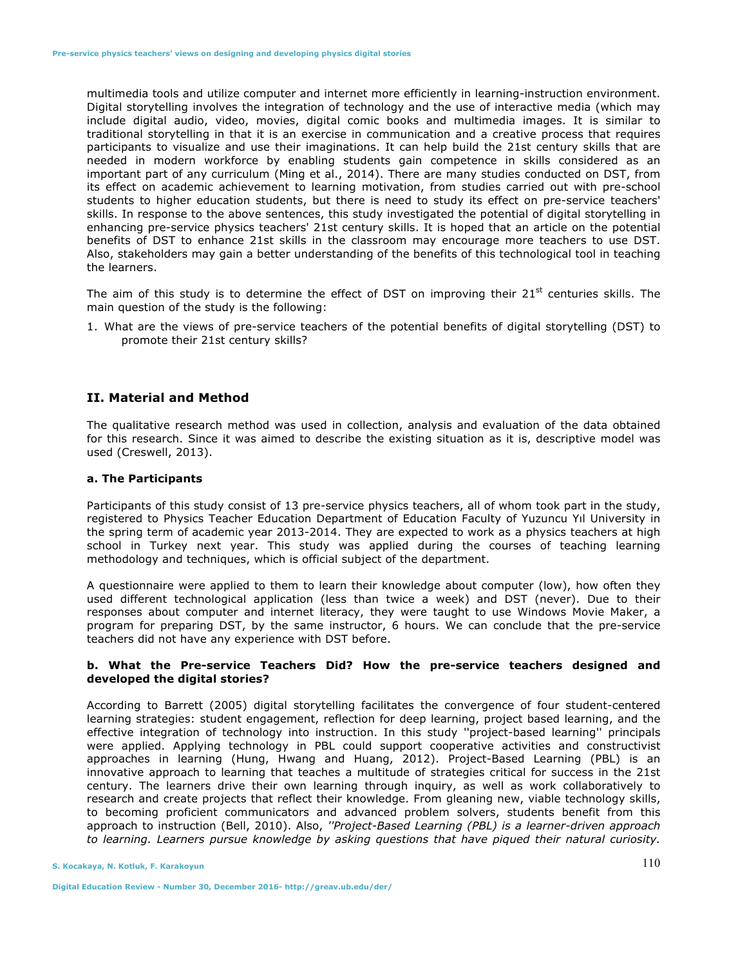multimedia tools and utilize computer and internet more efficiently in learning-instruction environment. Digital storytelling involves the integration of technology and the use of interactive media (which may include digital audio, video, movies, digital comic books and multimedia images. It is similar to traditional storytelling in that it is an exercise in communication and a creative process that requires participants to visualize and use their imaginations. It can help build the 21st century skills that are needed in modern workforce by enabling students gain competence in skills considered as an important part of any curriculum (Ming et al., 2014). There are many studies conducted on DST, from its effect on academic achievement to learning motivation, from studies carried out with pre-school students to higher education students, but there is need to study its effect on pre-service teachers' skills. In response to the above sentences, this study investigated the potential of digital storytelling in enhancing pre-service physics teachers' 21st century skills. It is hoped that an article on the potential benefits of DST to enhance 21st skills in the classroom may encourage more teachers to use DST. Also, stakeholders may gain a better understanding of the benefits of this technological tool in teaching the learners.

The aim of this study is to determine the effect of DST on improving their  $21^{st}$  centuries skills. The main question of the study is the following:

1. What are the views of pre-service teachers of the potential benefits of digital storytelling (DST) to promote their 21st century skills?

# **II. Material and Method**

The qualitative research method was used in collection, analysis and evaluation of the data obtained for this research. Since it was aimed to describe the existing situation as it is, descriptive model was used (Creswell, 2013).

#### **a. The Participants**

Participants of this study consist of 13 pre-service physics teachers, all of whom took part in the study, registered to Physics Teacher Education Department of Education Faculty of Yuzuncu Yıl University in the spring term of academic year 2013-2014. They are expected to work as a physics teachers at high school in Turkey next year. This study was applied during the courses of teaching learning methodology and techniques, which is official subject of the department.

A questionnaire were applied to them to learn their knowledge about computer (low), how often they used different technological application (less than twice a week) and DST (never). Due to their responses about computer and internet literacy, they were taught to use Windows Movie Maker, a program for preparing DST, by the same instructor, 6 hours. We can conclude that the pre-service teachers did not have any experience with DST before.

# **b. What the Pre-service Teachers Did? How the pre-service teachers designed and developed the digital stories?**

According to Barrett (2005) digital storytelling facilitates the convergence of four student-centered learning strategies: student engagement, reflection for deep learning, project based learning, and the effective integration of technology into instruction. In this study ''project-based learning'' principals were applied. Applying technology in PBL could support cooperative activities and constructivist approaches in learning (Hung, Hwang and Huang, 2012). Project-Based Learning (PBL) is an innovative approach to learning that teaches a multitude of strategies critical for success in the 21st century. The learners drive their own learning through inquiry, as well as work collaboratively to research and create projects that reflect their knowledge. From gleaning new, viable technology skills, to becoming proficient communicators and advanced problem solvers, students benefit from this approach to instruction (Bell, 2010). Also, *''Project-Based Learning (PBL) is a learner-driven approach to learning. Learners pursue knowledge by asking questions that have piqued their natural curiosity.*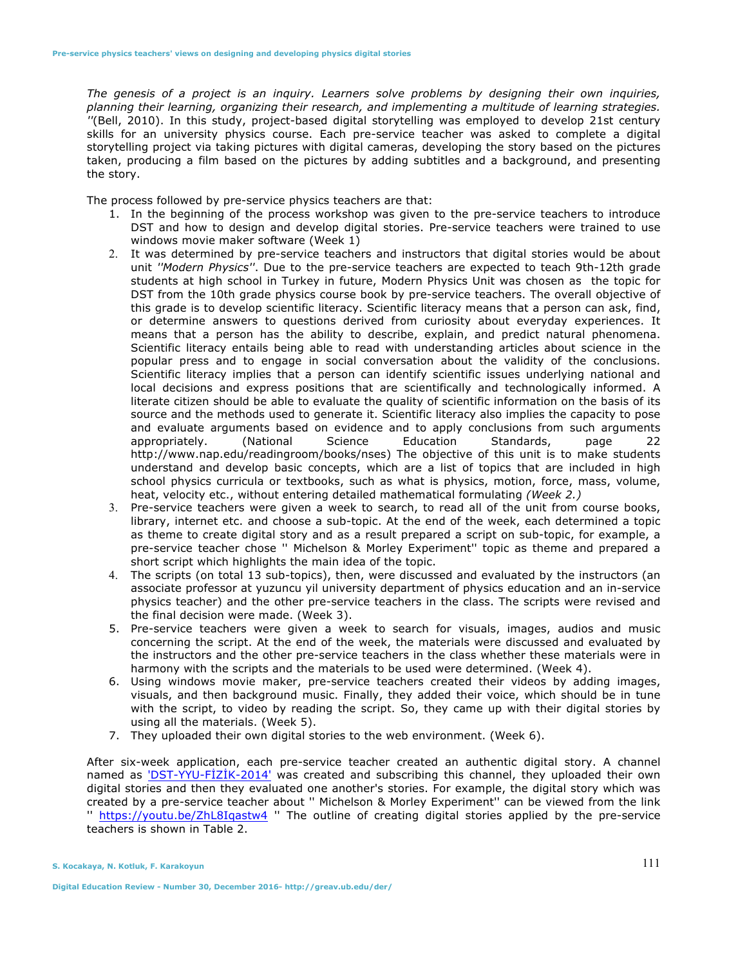*The genesis of a project is an inquiry. Learners solve problems by designing their own inquiries, planning their learning, organizing their research, and implementing a multitude of learning strategies. ''*(Bell, 2010). In this study, project-based digital storytelling was employed to develop 21st century skills for an university physics course. Each pre-service teacher was asked to complete a digital storytelling project via taking pictures with digital cameras, developing the story based on the pictures taken, producing a film based on the pictures by adding subtitles and a background, and presenting the story.

The process followed by pre-service physics teachers are that:

- 1. In the beginning of the process workshop was given to the pre-service teachers to introduce DST and how to design and develop digital stories. Pre-service teachers were trained to use windows movie maker software (Week 1)
- 2. It was determined by pre-service teachers and instructors that digital stories would be about unit *''Modern Physics''*. Due to the pre-service teachers are expected to teach 9th-12th grade students at high school in Turkey in future, Modern Physics Unit was chosen as the topic for DST from the 10th grade physics course book by pre-service teachers. The overall objective of this grade is to develop scientific literacy. Scientific literacy means that a person can ask, find, or determine answers to questions derived from curiosity about everyday experiences. It means that a person has the ability to describe, explain, and predict natural phenomena. Scientific literacy entails being able to read with understanding articles about science in the popular press and to engage in social conversation about the validity of the conclusions. Scientific literacy implies that a person can identify scientific issues underlying national and local decisions and express positions that are scientifically and technologically informed. A literate citizen should be able to evaluate the quality of scientific information on the basis of its source and the methods used to generate it. Scientific literacy also implies the capacity to pose and evaluate arguments based on evidence and to apply conclusions from such arguments appropriately. (National Science Education Standards, page 22 http://www.nap.edu/readingroom/books/nses) The objective of this unit is to make students understand and develop basic concepts, which are a list of topics that are included in high school physics curricula or textbooks, such as what is physics, motion, force, mass, volume, heat, velocity etc., without entering detailed mathematical formulating *(Week 2.)*
- 3. Pre-service teachers were given a week to search, to read all of the unit from course books, library, internet etc. and choose a sub-topic. At the end of the week, each determined a topic as theme to create digital story and as a result prepared a script on sub-topic, for example, a pre-service teacher chose '' Michelson & Morley Experiment'' topic as theme and prepared a short script which highlights the main idea of the topic.
- 4. The scripts (on total 13 sub-topics), then, were discussed and evaluated by the instructors (an associate professor at yuzuncu yil university department of physics education and an in-service physics teacher) and the other pre-service teachers in the class. The scripts were revised and the final decision were made. (Week 3).
- 5. Pre-service teachers were given a week to search for visuals, images, audios and music concerning the script. At the end of the week, the materials were discussed and evaluated by the instructors and the other pre-service teachers in the class whether these materials were in harmony with the scripts and the materials to be used were determined. (Week 4).
- 6. Using windows movie maker, pre-service teachers created their videos by adding images, visuals, and then background music. Finally, they added their voice, which should be in tune with the script, to video by reading the script. So, they came up with their digital stories by using all the materials. (Week 5).
- 7. They uploaded their own digital stories to the web environment. (Week 6).

After six-week application, each pre-service teacher created an authentic digital story. A channel named as 'DST-YYU-FİZİK-2014' was created and subscribing this channel, they uploaded their own digital stories and then they evaluated one another's stories. For example, the digital story which was created by a pre-service teacher about '' Michelson & Morley Experiment'' can be viewed from the link " https://youtu.be/ZhL8Iqastw4 " The outline of creating digital stories applied by the pre-service teachers is shown in Table 2.

**S. Kocakaya, N. Kotluk, F. Karakoyun** 

**Digital Education Review - Number 30, December 2016- http://greav.ub.edu/der/**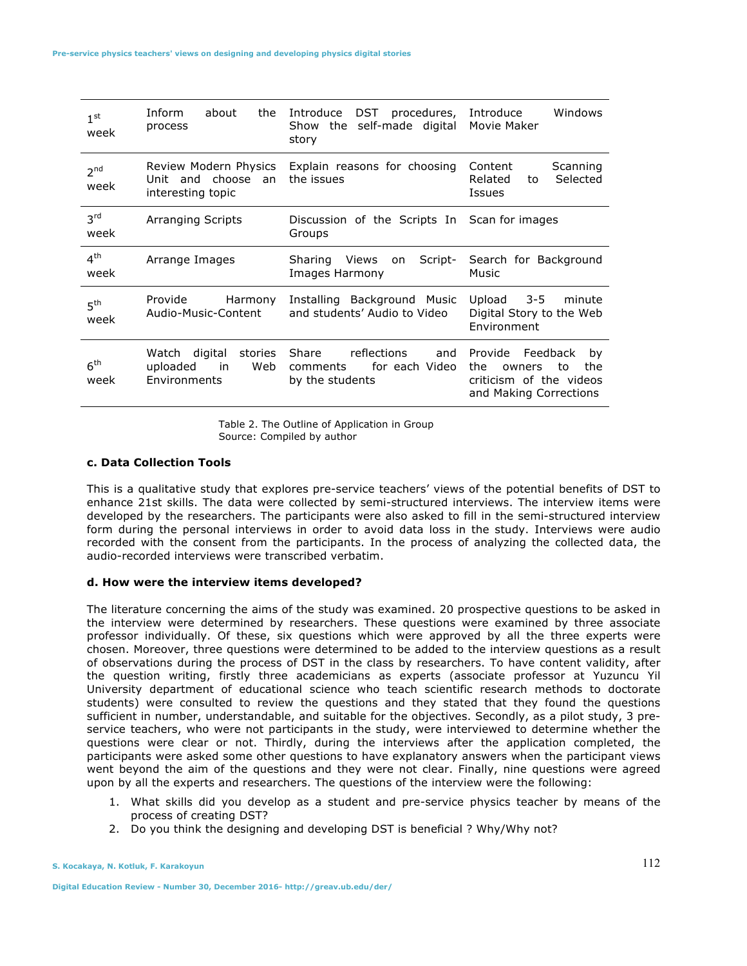| 1 <sup>st</sup><br>week | Inform<br>about<br>the<br>process                                   | DST procedures,<br>Introduce<br>the self-made digital<br>Show<br>story       | Windows<br>Introduce<br>Movie Maker                                                                          |  |
|-------------------------|---------------------------------------------------------------------|------------------------------------------------------------------------------|--------------------------------------------------------------------------------------------------------------|--|
| 2 <sub>nd</sub><br>week | Review Modern Physics<br>Unit and choose<br>an<br>interesting topic | Explain reasons for choosing<br>the issues                                   | Content<br>Scanning<br>Selected<br>Related<br>to<br>Issues                                                   |  |
| 3 <sup>rd</sup><br>week | <b>Arranging Scripts</b>                                            | Discussion of the Scripts In Scan for images<br>Groups                       |                                                                                                              |  |
| 4 <sup>th</sup><br>week | Arrange Images                                                      | Sharing<br>Views<br>Script-<br>on<br>Images Harmony                          | Search for Background<br>Music                                                                               |  |
| 5 <sup>th</sup><br>week | Provide<br>Harmony<br>Audio-Music-Content                           | Installing Background Music<br>and students' Audio to Video                  | $3 - 5$<br>Upload<br>minute<br>Digital Story to the Web<br>Environment                                       |  |
| 6 <sup>th</sup><br>week | Watch digital<br>stories<br>Web<br>uploaded<br>in<br>Environments   | Share<br>reflections<br>and<br>for each Video<br>comments<br>by the students | Provide<br>Feedback<br>by<br>the<br>the<br>to<br>owners<br>criticism of the videos<br>and Making Corrections |  |

Table 2. The Outline of Application in Group Source: Compiled by author

## **c. Data Collection Tools**

This is a qualitative study that explores pre-service teachers' views of the potential benefits of DST to enhance 21st skills. The data were collected by semi-structured interviews. The interview items were developed by the researchers. The participants were also asked to fill in the semi-structured interview form during the personal interviews in order to avoid data loss in the study. Interviews were audio recorded with the consent from the participants. In the process of analyzing the collected data, the audio-recorded interviews were transcribed verbatim.

#### **d. How were the interview items developed?**

The literature concerning the aims of the study was examined. 20 prospective questions to be asked in the interview were determined by researchers. These questions were examined by three associate professor individually. Of these, six questions which were approved by all the three experts were chosen. Moreover, three questions were determined to be added to the interview questions as a result of observations during the process of DST in the class by researchers. To have content validity, after the question writing, firstly three academicians as experts (associate professor at Yuzuncu Yil University department of educational science who teach scientific research methods to doctorate students) were consulted to review the questions and they stated that they found the questions sufficient in number, understandable, and suitable for the objectives. Secondly, as a pilot study, 3 preservice teachers, who were not participants in the study, were interviewed to determine whether the questions were clear or not. Thirdly, during the interviews after the application completed, the participants were asked some other questions to have explanatory answers when the participant views went beyond the aim of the questions and they were not clear. Finally, nine questions were agreed upon by all the experts and researchers. The questions of the interview were the following:

- 1. What skills did you develop as a student and pre-service physics teacher by means of the process of creating DST?
- 2. Do you think the designing and developing DST is beneficial ? Why/Why not?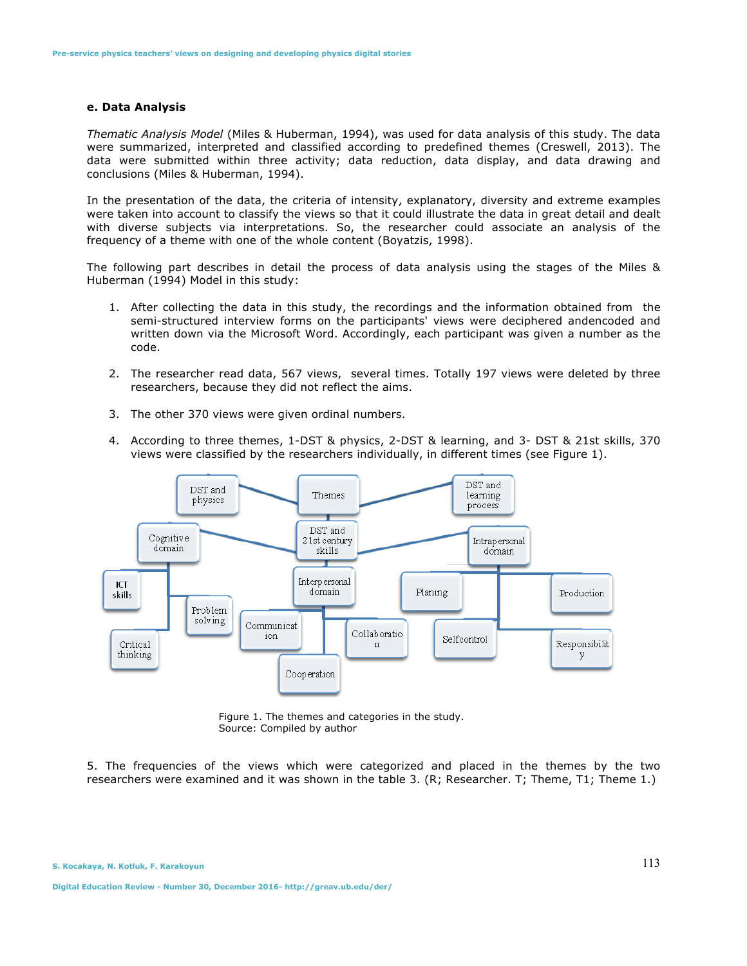#### **e. Data Analysis**

*Thematic Analysis Model* (Miles & Huberman, 1994), was used for data analysis of this study. The data were summarized, interpreted and classified according to predefined themes (Creswell, 2013). The data were submitted within three activity; data reduction, data display, and data drawing and conclusions (Miles & Huberman, 1994).

In the presentation of the data, the criteria of intensity, explanatory, diversity and extreme examples were taken into account to classify the views so that it could illustrate the data in great detail and dealt with diverse subjects via interpretations. So, the researcher could associate an analysis of the frequency of a theme with one of the whole content (Boyatzis, 1998).

The following part describes in detail the process of data analysis using the stages of the Miles & Huberman (1994) Model in this study:

- 1. After collecting the data in this study, the recordings and the information obtained from the semi-structured interview forms on the participants' views were deciphered andencoded and written down via the Microsoft Word. Accordingly, each participant was given a number as the code.
- 2. The researcher read data, 567 views, several times. Totally 197 views were deleted by three researchers, because they did not reflect the aims.
- 3. The other 370 views were given ordinal numbers.
- 4. According to three themes, 1-DST & physics, 2-DST & learning, and 3- DST & 21st skills, 370 views were classified by the researchers individually, in different times (see Figure 1).



Figure 1. The themes and categories in the study. Source: Compiled by author

5. The frequencies of the views which were categorized and placed in the themes by the two researchers were examined and it was shown in the table 3. (R; Researcher. T; Theme, T1; Theme 1.)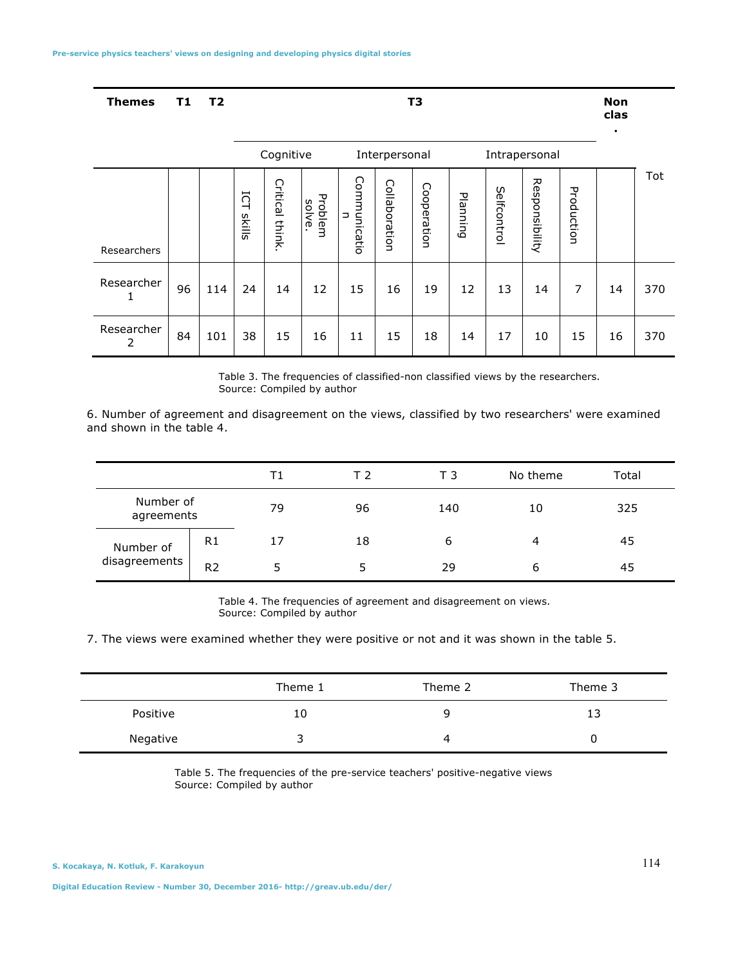| <b>Themes</b> | T1 | T <sub>2</sub> | . | Non<br>clas |
|---------------|----|----------------|---|-------------|
|               |    |                |   |             |

|                 |    |     | Cognitive                               |                    | Interpersonal    |                   | Intrapersonal |             |          |             |                |            |    |     |
|-----------------|----|-----|-----------------------------------------|--------------------|------------------|-------------------|---------------|-------------|----------|-------------|----------------|------------|----|-----|
| Researchers     |    |     | 5<br>$\overline{\phantom{0}}$<br>skills | Critical<br>think. | Problem<br>solve | Communicatio<br>⊃ | Collaboration | Cooperation | Planning | Selfcontrol | Responsibility | Production |    | Tot |
| Researcher      | 96 | 114 | 24                                      | 14                 | 12               | 15                | 16            | 19          | 12       | 13          | 14             | 7          | 14 | 370 |
| Researcher<br>2 | 84 | 101 | 38                                      | 15                 | 16               | 11                | 15            | 18          | 14       | 17          | 10             | 15         | 16 | 370 |

Table 3. The frequencies of classified-non classified views by the researchers. Source: Compiled by author

6. Number of agreement and disagreement on the views, classified by two researchers' were examined and shown in the table 4.

|                            |                |    | ТЭ | ТЗ  | No theme | Total |
|----------------------------|----------------|----|----|-----|----------|-------|
| Number of<br>agreements    |                | 79 | 96 | 140 | 10       | 325   |
| Number of<br>disagreements | R1             | 17 | 18 | 6   | 4        | 45    |
|                            | R <sub>2</sub> |    | 5  | 29  | b        | 45    |

Table 4. The frequencies of agreement and disagreement on views. Source: Compiled by author

7. The views were examined whether they were positive or not and it was shown in the table 5.

|          | Theme 1 | Theme 2 | Theme 3 |  |
|----------|---------|---------|---------|--|
| Positive | 10      | q       | 13      |  |
| Negative | ≺<br>ر  | 4       |         |  |

Table 5. The frequencies of the pre-service teachers' positive-negative views Source: Compiled by author

**.**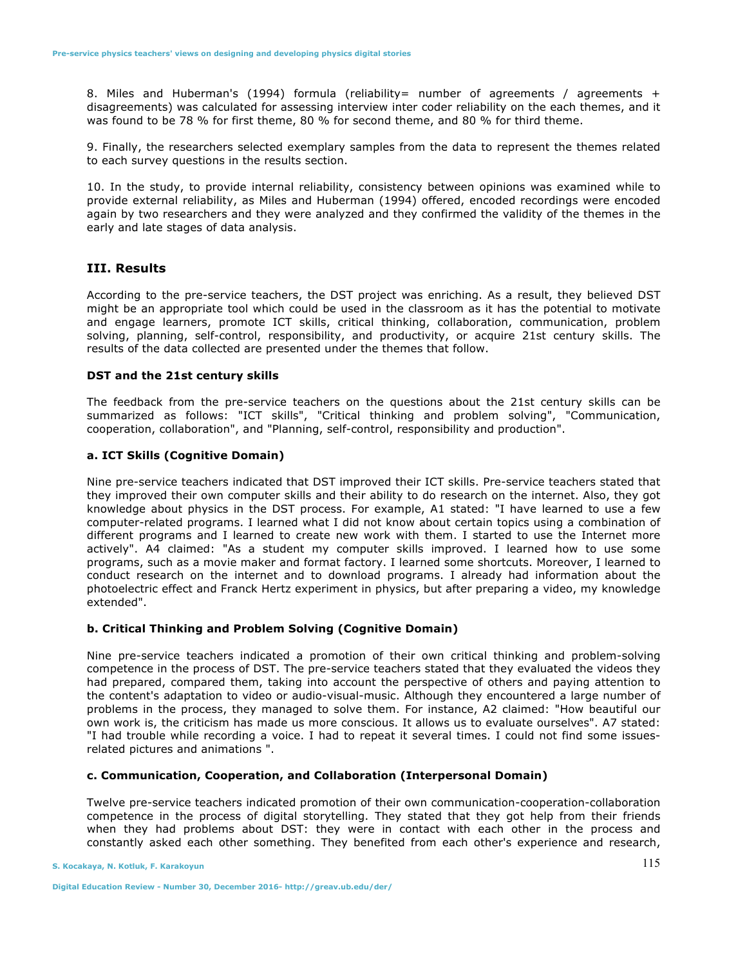8. Miles and Huberman's (1994) formula (reliability= number of agreements / agreements + disagreements) was calculated for assessing interview inter coder reliability on the each themes, and it was found to be 78 % for first theme, 80 % for second theme, and 80 % for third theme.

9. Finally, the researchers selected exemplary samples from the data to represent the themes related to each survey questions in the results section.

10. In the study, to provide internal reliability, consistency between opinions was examined while to provide external reliability, as Miles and Huberman (1994) offered, encoded recordings were encoded again by two researchers and they were analyzed and they confirmed the validity of the themes in the early and late stages of data analysis.

# **III. Results**

According to the pre-service teachers, the DST project was enriching. As a result, they believed DST might be an appropriate tool which could be used in the classroom as it has the potential to motivate and engage learners, promote ICT skills, critical thinking, collaboration, communication, problem solving, planning, self-control, responsibility, and productivity, or acquire 21st century skills. The results of the data collected are presented under the themes that follow.

#### **DST and the 21st century skills**

The feedback from the pre-service teachers on the questions about the 21st century skills can be summarized as follows: "ICT skills", "Critical thinking and problem solving", "Communication, cooperation, collaboration", and "Planning, self-control, responsibility and production".

#### **a. ICT Skills (Cognitive Domain)**

Nine pre-service teachers indicated that DST improved their ICT skills. Pre-service teachers stated that they improved their own computer skills and their ability to do research on the internet. Also, they got knowledge about physics in the DST process. For example, A1 stated: "I have learned to use a few computer-related programs. I learned what I did not know about certain topics using a combination of different programs and I learned to create new work with them. I started to use the Internet more actively". A4 claimed: "As a student my computer skills improved. I learned how to use some programs, such as a movie maker and format factory. I learned some shortcuts. Moreover, I learned to conduct research on the internet and to download programs. I already had information about the photoelectric effect and Franck Hertz experiment in physics, but after preparing a video, my knowledge extended".

#### **b. Critical Thinking and Problem Solving (Cognitive Domain)**

Nine pre-service teachers indicated a promotion of their own critical thinking and problem-solving competence in the process of DST. The pre-service teachers stated that they evaluated the videos they had prepared, compared them, taking into account the perspective of others and paying attention to the content's adaptation to video or audio-visual-music. Although they encountered a large number of problems in the process, they managed to solve them. For instance, A2 claimed: "How beautiful our own work is, the criticism has made us more conscious. It allows us to evaluate ourselves". A7 stated: "I had trouble while recording a voice. I had to repeat it several times. I could not find some issuesrelated pictures and animations ".

#### **c. Communication, Cooperation, and Collaboration (Interpersonal Domain)**

Twelve pre-service teachers indicated promotion of their own communication-cooperation-collaboration competence in the process of digital storytelling. They stated that they got help from their friends when they had problems about DST: they were in contact with each other in the process and constantly asked each other something. They benefited from each other's experience and research,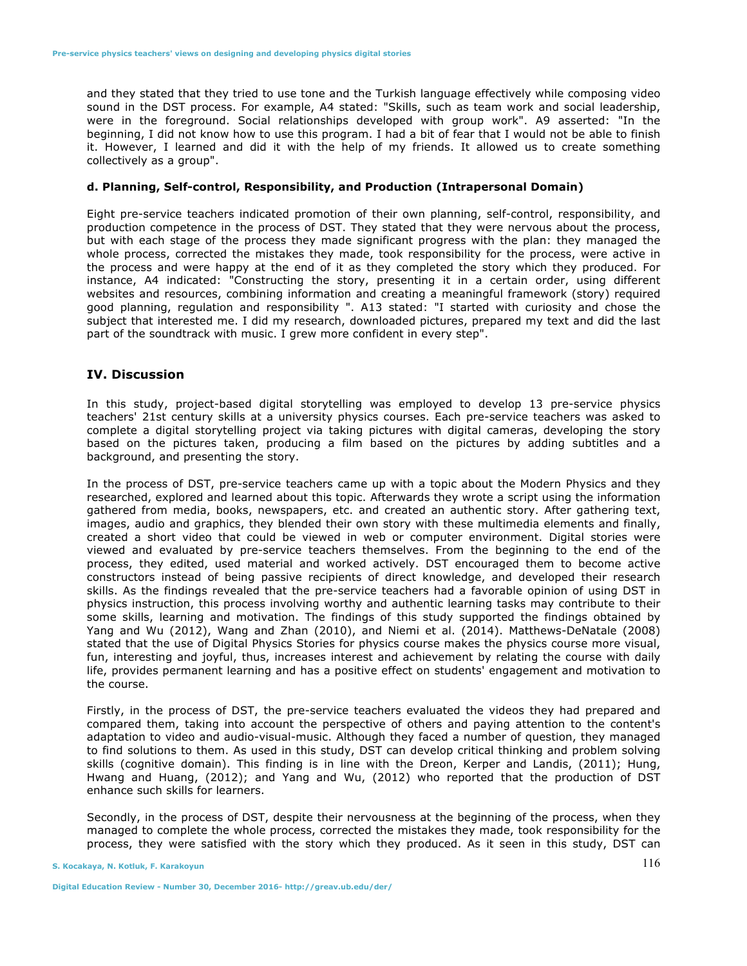and they stated that they tried to use tone and the Turkish language effectively while composing video sound in the DST process. For example, A4 stated: "Skills, such as team work and social leadership, were in the foreground. Social relationships developed with group work". A9 asserted: "In the beginning, I did not know how to use this program. I had a bit of fear that I would not be able to finish it. However, I learned and did it with the help of my friends. It allowed us to create something collectively as a group".

# **d. Planning, Self-control, Responsibility, and Production (Intrapersonal Domain)**

Eight pre-service teachers indicated promotion of their own planning, self-control, responsibility, and production competence in the process of DST. They stated that they were nervous about the process, but with each stage of the process they made significant progress with the plan: they managed the whole process, corrected the mistakes they made, took responsibility for the process, were active in the process and were happy at the end of it as they completed the story which they produced. For instance, A4 indicated: "Constructing the story, presenting it in a certain order, using different websites and resources, combining information and creating a meaningful framework (story) required good planning, regulation and responsibility ". A13 stated: "I started with curiosity and chose the subject that interested me. I did my research, downloaded pictures, prepared my text and did the last part of the soundtrack with music. I grew more confident in every step".

## **IV. Discussion**

In this study, project-based digital storytelling was employed to develop 13 pre-service physics teachers' 21st century skills at a university physics courses. Each pre-service teachers was asked to complete a digital storytelling project via taking pictures with digital cameras, developing the story based on the pictures taken, producing a film based on the pictures by adding subtitles and a background, and presenting the story.

In the process of DST, pre-service teachers came up with a topic about the Modern Physics and they researched, explored and learned about this topic. Afterwards they wrote a script using the information gathered from media, books, newspapers, etc. and created an authentic story. After gathering text, images, audio and graphics, they blended their own story with these multimedia elements and finally, created a short video that could be viewed in web or computer environment. Digital stories were viewed and evaluated by pre-service teachers themselves. From the beginning to the end of the process, they edited, used material and worked actively. DST encouraged them to become active constructors instead of being passive recipients of direct knowledge, and developed their research skills. As the findings revealed that the pre-service teachers had a favorable opinion of using DST in physics instruction, this process involving worthy and authentic learning tasks may contribute to their some skills, learning and motivation. The findings of this study supported the findings obtained by Yang and Wu (2012), Wang and Zhan (2010), and Niemi et al. (2014). Matthews-DeNatale (2008) stated that the use of Digital Physics Stories for physics course makes the physics course more visual, fun, interesting and joyful, thus, increases interest and achievement by relating the course with daily life, provides permanent learning and has a positive effect on students' engagement and motivation to the course.

Firstly, in the process of DST, the pre-service teachers evaluated the videos they had prepared and compared them, taking into account the perspective of others and paying attention to the content's adaptation to video and audio-visual-music. Although they faced a number of question, they managed to find solutions to them. As used in this study, DST can develop critical thinking and problem solving skills (cognitive domain). This finding is in line with the Dreon, Kerper and Landis, (2011); Hung, Hwang and Huang, (2012); and Yang and Wu, (2012) who reported that the production of DST enhance such skills for learners.

Secondly, in the process of DST, despite their nervousness at the beginning of the process, when they managed to complete the whole process, corrected the mistakes they made, took responsibility for the process, they were satisfied with the story which they produced. As it seen in this study, DST can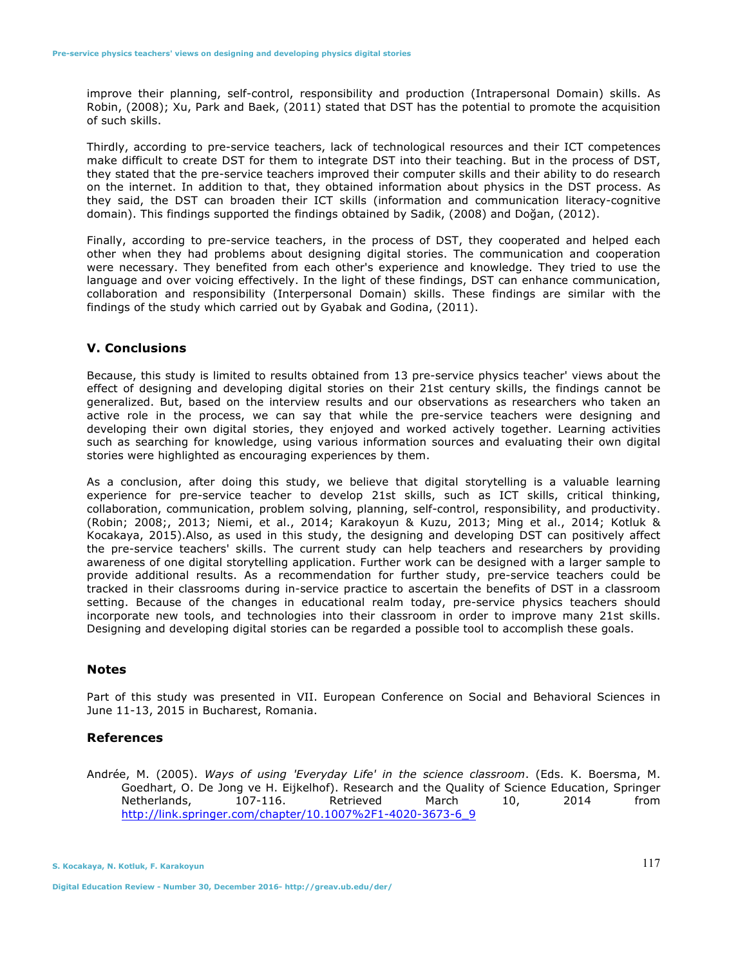improve their planning, self-control, responsibility and production (Intrapersonal Domain) skills. As Robin, (2008); Xu, Park and Baek, (2011) stated that DST has the potential to promote the acquisition of such skills.

Thirdly, according to pre-service teachers, lack of technological resources and their ICT competences make difficult to create DST for them to integrate DST into their teaching. But in the process of DST, they stated that the pre-service teachers improved their computer skills and their ability to do research on the internet. In addition to that, they obtained information about physics in the DST process. As they said, the DST can broaden their ICT skills (information and communication literacy-cognitive domain). This findings supported the findings obtained by Sadik, (2008) and Doğan, (2012).

Finally, according to pre-service teachers, in the process of DST, they cooperated and helped each other when they had problems about designing digital stories. The communication and cooperation were necessary. They benefited from each other's experience and knowledge. They tried to use the language and over voicing effectively. In the light of these findings, DST can enhance communication, collaboration and responsibility (Interpersonal Domain) skills. These findings are similar with the findings of the study which carried out by Gyabak and Godina, (2011).

#### **V. Conclusions**

Because, this study is limited to results obtained from 13 pre-service physics teacher' views about the effect of designing and developing digital stories on their 21st century skills, the findings cannot be generalized. But, based on the interview results and our observations as researchers who taken an active role in the process, we can say that while the pre-service teachers were designing and developing their own digital stories, they enjoyed and worked actively together. Learning activities such as searching for knowledge, using various information sources and evaluating their own digital stories were highlighted as encouraging experiences by them.

As a conclusion, after doing this study, we believe that digital storytelling is a valuable learning experience for pre-service teacher to develop 21st skills, such as ICT skills, critical thinking, collaboration, communication, problem solving, planning, self-control, responsibility, and productivity. (Robin; 2008;, 2013; Niemi, et al., 2014; Karakoyun & Kuzu, 2013; Ming et al., 2014; Kotluk & Kocakaya, 2015).Also, as used in this study, the designing and developing DST can positively affect the pre-service teachers' skills. The current study can help teachers and researchers by providing awareness of one digital storytelling application. Further work can be designed with a larger sample to provide additional results. As a recommendation for further study, pre-service teachers could be tracked in their classrooms during in-service practice to ascertain the benefits of DST in a classroom setting. Because of the changes in educational realm today, pre-service physics teachers should incorporate new tools, and technologies into their classroom in order to improve many 21st skills. Designing and developing digital stories can be regarded a possible tool to accomplish these goals.

## **Notes**

Part of this study was presented in VII. European Conference on Social and Behavioral Sciences in June 11-13, 2015 in Bucharest, Romania.

# **References**

Andrée, M. (2005). *Ways of using 'Everyday Life' in the science classroom*. (Eds. K. Boersma, M. Goedhart, O. De Jong ve H. Eijkelhof). Research and the Quality of Science Education, Springer Netherlands, 107-116. Retrieved March 10, 2014 from http://link.springer.com/chapter/10.1007%2F1-4020-3673-6\_9

**S. Kocakaya, N. Kotluk, F. Karakoyun**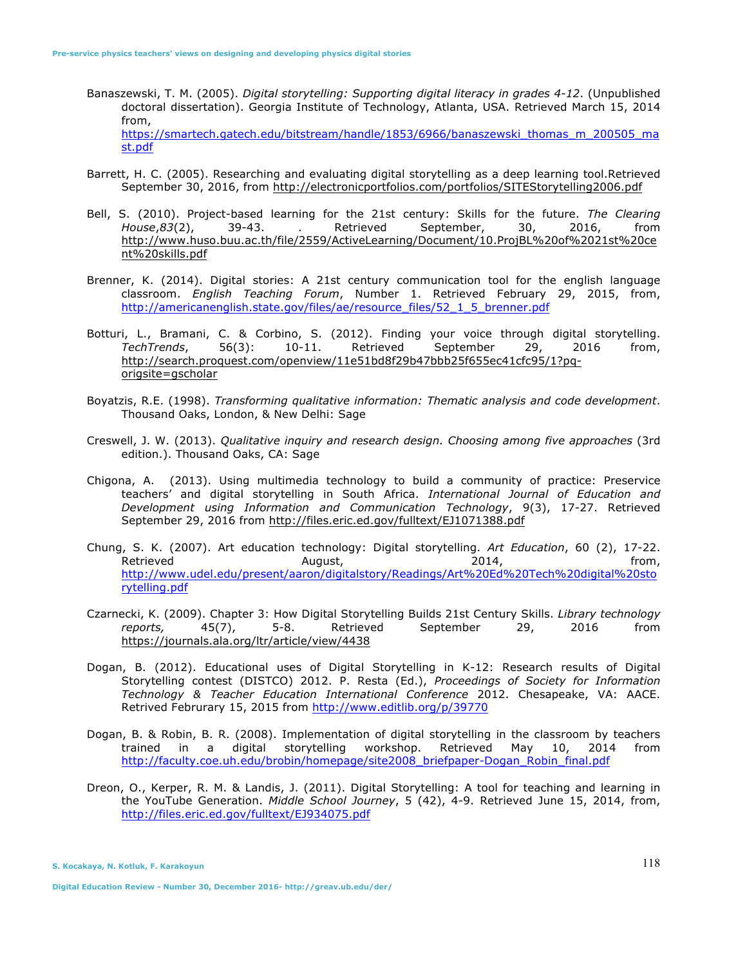- Banaszewski, T. M. (2005). *Digital storytelling: Supporting digital literacy in grades 4-12*. (Unpublished doctoral dissertation). Georgia Institute of Technology, Atlanta, USA. Retrieved March 15, 2014 from, https://smartech.gatech.edu/bitstream/handle/1853/6966/banaszewski\_thomas\_m\_200505\_ma st.pdf
- Barrett, H. C. (2005). Researching and evaluating digital storytelling as a deep learning tool.Retrieved September 30, 2016, from http://electronicportfolios.com/portfolios/SITEStorytelling2006.pdf
- Bell, S. (2010). Project-based learning for the 21st century: Skills for the future. *The Clearing House*,*83*(2), 39-43. . Retrieved September, 30, 2016, from http://www.huso.buu.ac.th/file/2559/ActiveLearning/Document/10.ProjBL%20of%2021st%20ce nt%20skills.pdf
- Brenner, K. (2014). Digital stories: A 21st century communication tool for the english language classroom. *English Teaching Forum*, Number 1. Retrieved February 29, 2015, from, http://americanenglish.state.gov/files/ae/resource\_files/52\_1\_5\_brenner.pdf
- Botturi, L., Bramani, C. & Corbino, S. (2012). Finding your voice through digital storytelling. *TechTrends*, 56(3): 10-11. Retrieved September 29, 2016 from, http://search.proquest.com/openview/11e51bd8f29b47bbb25f655ec41cfc95/1?pqorigsite=gscholar
- Boyatzis, R.E. (1998). *Transforming qualitative information: Thematic analysis and code development*. Thousand Oaks, London, & New Delhi: Sage
- Creswell, J. W. (2013). *Qualitative inquiry and research design. Choosing among five approaches* (3rd edition.). Thousand Oaks, CA: Sage
- Chigona, A. (2013). Using multimedia technology to build a community of practice: Preservice teachers' and digital storytelling in South Africa. *International Journal of Education and Development using Information and Communication Technology*, 9(3), 17-27. Retrieved September 29, 2016 from http://files.eric.ed.gov/fulltext/EJ1071388.pdf
- Chung, S. K. (2007). Art education technology: Digital storytelling. *Art Education*, 60 (2), 17-22. Retrieved August, 2014, from, http://www.udel.edu/present/aaron/digitalstory/Readings/Art%20Ed%20Tech%20digital%20sto rytelling.pdf
- Czarnecki, K. (2009). Chapter 3: How Digital Storytelling Builds 21st Century Skills. *Library technology reports,* 45(7), 5-8. Retrieved September 29, 2016 from https://journals.ala.org/ltr/article/view/4438
- Dogan, B. (2012). Educational uses of Digital Storytelling in K-12: Research results of Digital Storytelling contest (DISTCO) 2012. P. Resta (Ed.), *Proceedings of Society for Information Technology & Teacher Education International Conference* 2012. Chesapeake, VA: AACE. Retrived Februrary 15, 2015 from http://www.editlib.org/p/39770
- Dogan, B. & Robin, B. R. (2008). Implementation of digital storytelling in the classroom by teachers trained in a digital storytelling workshop. Retrieved May 10, 2014 from http://faculty.coe.uh.edu/brobin/homepage/site2008\_briefpaper-Dogan\_Robin\_final.pdf
- Dreon, O., Kerper, R. M. & Landis, J. (2011). Digital Storytelling: A tool for teaching and learning in the YouTube Generation. *Middle School Journey*, 5 (42), 4-9. Retrieved June 15, 2014, from, http://files.eric.ed.gov/fulltext/EJ934075.pdf

**S. Kocakaya, N. Kotluk, F. Karakoyun** 

**Digital Education Review - Number 30, December 2016- http://greav.ub.edu/der/**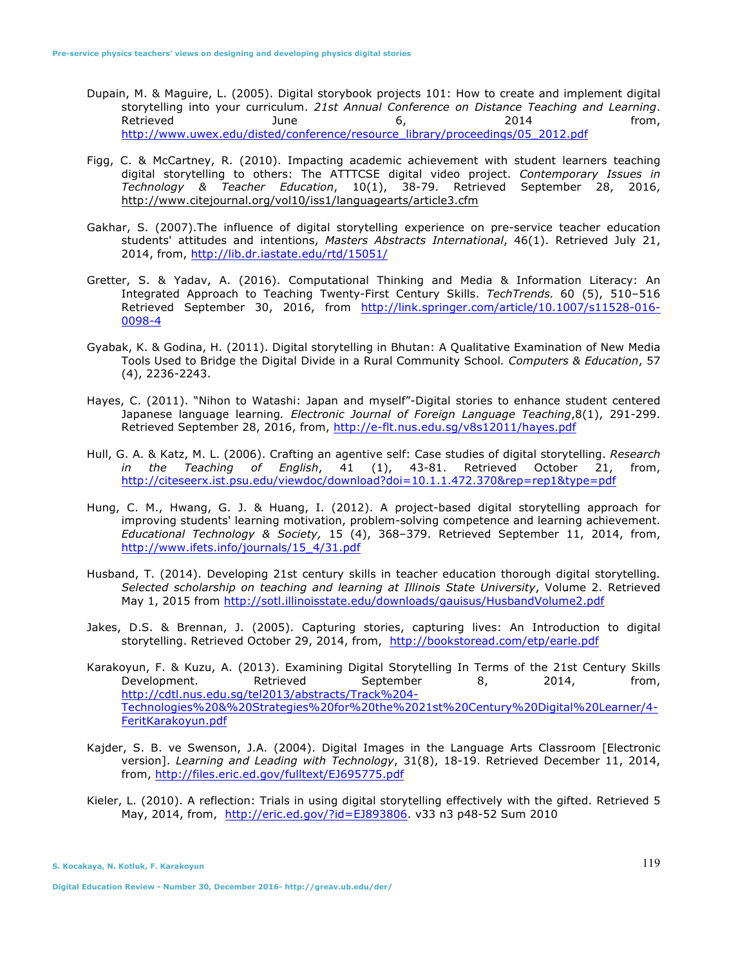- Dupain, M. & Maguire, L. (2005). Digital storybook projects 101: How to create and implement digital storytelling into your curriculum. *21st Annual Conference on Distance Teaching and Learning*. Retrieved June 6, 2014 from, http://www.uwex.edu/disted/conference/resource\_library/proceedings/05\_2012.pdf
- Figg, C. & McCartney, R. (2010). Impacting academic achievement with student learners teaching digital storytelling to others: The ATTTCSE digital video project. *Contemporary Issues in Technology & Teacher Education*, 10(1), 38-79. Retrieved September 28, 2016, http://www.citejournal.org/vol10/iss1/languagearts/article3.cfm
- Gakhar, S. (2007).The influence of digital storytelling experience on pre-service teacher education students' attitudes and intentions, *Masters Abstracts International*, 46(1). Retrieved July 21, 2014, from, http://lib.dr.iastate.edu/rtd/15051/
- Gretter, S. & Yadav, A. (2016). Computational Thinking and Media & Information Literacy: An Integrated Approach to Teaching Twenty-First Century Skills. *TechTrends.* 60 (5), 510–516 Retrieved September 30, 2016, from http://link.springer.com/article/10.1007/s11528-016- 0098-4
- Gyabak, K. & Godina, H. (2011). Digital storytelling in Bhutan: A Qualitative Examination of New Media Tools Used to Bridge the Digital Divide in a Rural Community School*. Computers & Education*, 57 (4), 2236-2243.
- Hayes, C. (2011). "Nihon to Watashi: Japan and myself"-Digital stories to enhance student centered Japanese language learning*. Electronic Journal of Foreign Language Teaching*,8(1), 291-299. Retrieved September 28, 2016, from, http://e-flt.nus.edu.sg/v8s12011/hayes.pdf
- Hull, G. A. & Katz, M. L. (2006). Crafting an agentive self: Case studies of digital storytelling. *Research in the Teaching of English*, 41 (1), 43-81. Retrieved October 21, from, http://citeseerx.ist.psu.edu/viewdoc/download?doi=10.1.1.472.370&rep=rep1&type=pdf
- Hung, C. M., Hwang, G. J. & Huang, I. (2012). A project-based digital storytelling approach for improving students' learning motivation, problem-solving competence and learning achievement. *Educational Technology & Society,* 15 (4), 368–379. Retrieved September 11, 2014, from, http://www.ifets.info/journals/15\_4/31.pdf
- Husband, T. (2014). Developing 21st century skills in teacher education thorough digital storytelling*. Selected scholarship on teaching and learning at Illinois State University*, Volume 2. Retrieved May 1, 2015 from http://sotl.illinoisstate.edu/downloads/gauisus/HusbandVolume2.pdf
- Jakes, D.S. & Brennan, J. (2005). Capturing stories, capturing lives: An Introduction to digital storytelling. Retrieved October 29, 2014, from, http://bookstoread.com/etp/earle.pdf
- Karakoyun, F. & Kuzu, A. (2013). Examining Digital Storytelling In Terms of the 21st Century Skills Development. Retrieved September 8, 2014, from, http://cdtl.nus.edu.sg/tel2013/abstracts/Track%204- Technologies%20&%20Strategies%20for%20the%2021st%20Century%20Digital%20Learner/4- FeritKarakoyun.pdf
- Kajder, S. B. ve Swenson, J.A. (2004). Digital Images in the Language Arts Classroom [Electronic version]. *Learning and Leading with Technology*, 31(8), 18-19. Retrieved December 11, 2014, from, http://files.eric.ed.gov/fulltext/EJ695775.pdf
- Kieler, L. (2010). A reflection: Trials in using digital storytelling effectively with the gifted. Retrieved 5 May, 2014, from, http://eric.ed.gov/?id=EJ893806. v33 n3 p48-52 Sum 2010

**S. Kocakaya, N. Kotluk, F. Karakoyun**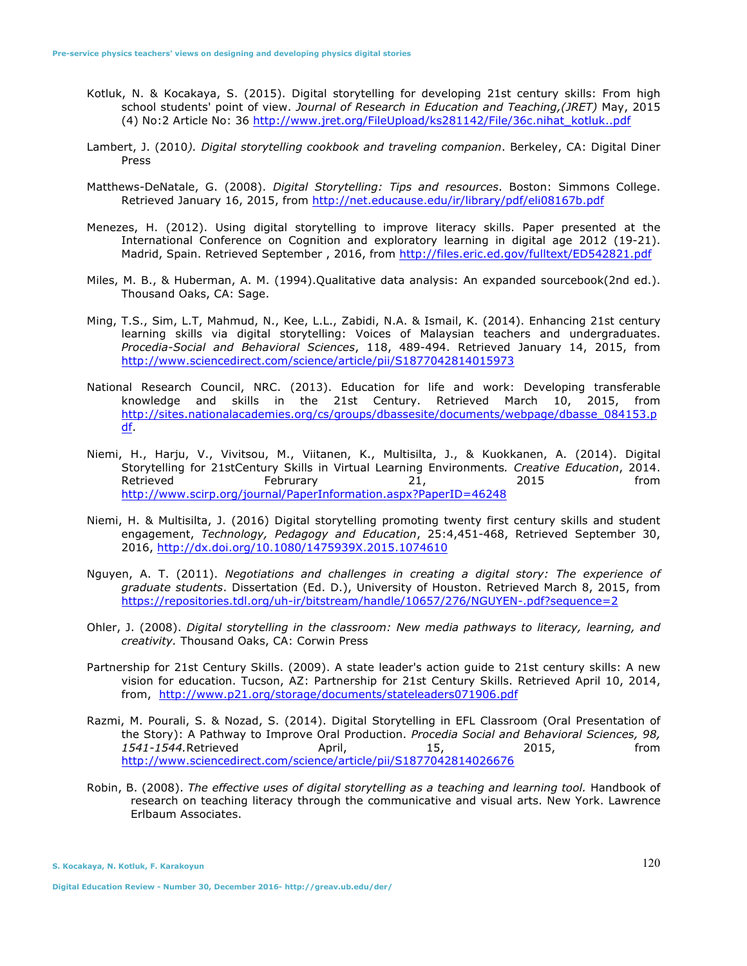- Kotluk, N. & Kocakaya, S. (2015). Digital storytelling for developing 21st century skills: From high school students' point of view. *Journal of Research in Education and Teaching,(JRET)* May, 2015 (4) No:2 Article No: 36 http://www.jret.org/FileUpload/ks281142/File/36c.nihat\_kotluk..pdf
- Lambert, J. (2010*). Digital storytelling cookbook and traveling companion*. Berkeley, CA: Digital Diner Press
- Matthews-DeNatale, G. (2008). *Digital Storytelling: Tips and resources*. Boston: Simmons College. Retrieved January 16, 2015, from http://net.educause.edu/ir/library/pdf/eli08167b.pdf
- Menezes, H. (2012). Using digital storytelling to improve literacy skills. Paper presented at the International Conference on Cognition and exploratory learning in digital age 2012 (19-21). Madrid, Spain. Retrieved September , 2016, from http://files.eric.ed.gov/fulltext/ED542821.pdf
- Miles, M. B., & Huberman, A. M. (1994).Qualitative data analysis: An expanded sourcebook(2nd ed.). Thousand Oaks, CA: Sage.
- Ming, T.S., Sim, L.T, Mahmud, N., Kee, L.L., Zabidi, N.A. & Ismail, K. (2014). Enhancing 21st century learning skills via digital storytelling: Voices of Malaysian teachers and undergraduates. *Procedia-Social and Behavioral Sciences*, 118, 489-494. Retrieved January 14, 2015, from http://www.sciencedirect.com/science/article/pii/S1877042814015973
- National Research Council, NRC. (2013). Education for life and work: Developing transferable knowledge and skills in the 21st Century. Retrieved March 10, 2015, from http://sites.nationalacademies.org/cs/groups/dbassesite/documents/webpage/dbasse\_084153.p df.
- Niemi, H., Harju, V., Vivitsou, M., Viitanen, K., Multisilta, J., & Kuokkanen, A. (2014). Digital Storytelling for 21stCentury Skills in Virtual Learning Environments*. Creative Education*, 2014. Retrieved Februrary 21, 2015 from http://www.scirp.org/journal/PaperInformation.aspx?PaperID=46248
- Niemi, H. & Multisilta, J. (2016) Digital storytelling promoting twenty first century skills and student engagement, *Technology, Pedagogy and Education*, 25:4,451-468, Retrieved September 30, 2016, http://dx.doi.org/10.1080/1475939X.2015.1074610
- Nguyen, A. T. (2011). *Negotiations and challenges in creating a digital story: The experience of graduate students*. Dissertation (Ed. D.), University of Houston. Retrieved March 8, 2015, from https://repositories.tdl.org/uh-ir/bitstream/handle/10657/276/NGUYEN-.pdf?sequence=2
- Ohler, J. (2008). *Digital storytelling in the classroom: New media pathways to literacy, learning, and creativity.* Thousand Oaks, CA: Corwin Press
- Partnership for 21st Century Skills. (2009). A state leader's action guide to 21st century skills: A new vision for education. Tucson, AZ: Partnership for 21st Century Skills. Retrieved April 10, 2014, from, http://www.p21.org/storage/documents/stateleaders071906.pdf
- Razmi, M. Pourali, S. & Nozad, S. (2014). Digital Storytelling in EFL Classroom (Oral Presentation of the Story): A Pathway to Improve Oral Production. *Procedia Social and Behavioral Sciences, 98, 1541-1544.*Retrieved April, 15, 2015, from http://www.sciencedirect.com/science/article/pii/S1877042814026676
- Robin, B. (2008). *The effective uses of digital storytelling as a teaching and learning tool.* Handbook of research on teaching literacy through the communicative and visual arts. New York. Lawrence Erlbaum Associates.

**S. Kocakaya, N. Kotluk, F. Karakoyun**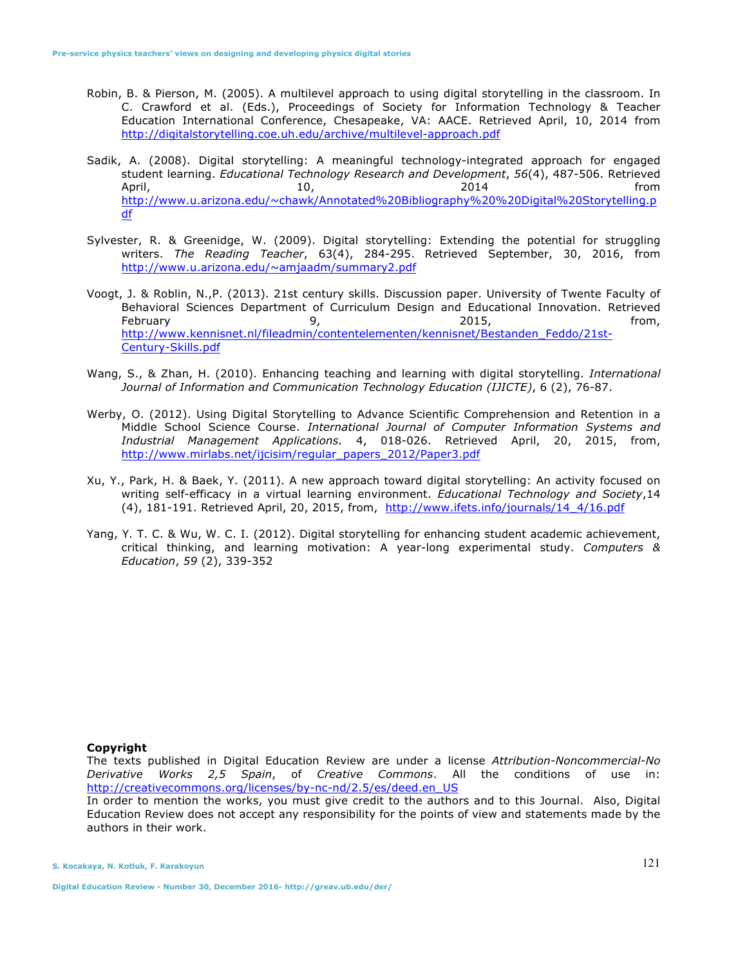- Robin, B. & Pierson, M. (2005). A multilevel approach to using digital storytelling in the classroom. In C. Crawford et al. (Eds.), Proceedings of Society for Information Technology & Teacher Education International Conference, Chesapeake, VA: AACE. Retrieved April, 10, 2014 from http://digitalstorytelling.coe.uh.edu/archive/multilevel-approach.pdf
- Sadik, A. (2008). Digital storytelling: A meaningful technology-integrated approach for engaged student learning. *Educational Technology Research and Development*, *56*(4), 487-506. Retrieved April, 10, 2014 from http://www.u.arizona.edu/~chawk/Annotated%20Bibliography%20%20Digital%20Storytelling.p df
- Sylvester, R. & Greenidge, W. (2009). Digital storytelling: Extending the potential for struggling writers. *The Reading Teacher*, 63(4), 284-295. Retrieved September, 30, 2016, from http://www.u.arizona.edu/~amjaadm/summary2.pdf
- Voogt, J. & Roblin, N.,P. (2013). 21st century skills. Discussion paper. University of Twente Faculty of Behavioral Sciences Department of Curriculum Design and Educational Innovation. Retrieved February 9, 2015, from, http://www.kennisnet.nl/fileadmin/contentelementen/kennisnet/Bestanden\_Feddo/21st-Century-Skills.pdf
- Wang, S., & Zhan, H. (2010). Enhancing teaching and learning with digital storytelling. *International Journal of Information and Communication Technology Education (IJICTE)*, 6 (2), 76-87.
- Werby, O. (2012). Using Digital Storytelling to Advance Scientific Comprehension and Retention in a Middle School Science Course. *International Journal of Computer Information Systems and Industrial Management Applications.* 4, 018-026. Retrieved April, 20, 2015, from, http://www.mirlabs.net/ijcisim/regular\_papers\_2012/Paper3.pdf
- Xu, Y., Park, H. & Baek, Y. (2011). A new approach toward digital storytelling: An activity focused on writing self-efficacy in a virtual learning environment. *Educational Technology and Society*,14 (4), 181-191. Retrieved April, 20, 2015, from, http://www.ifets.info/journals/14\_4/16.pdf
- Yang, Y. T. C. & Wu, W. C. I. (2012). Digital storytelling for enhancing student academic achievement, critical thinking, and learning motivation: A year-long experimental study. *Computers & Education*, *59* (2), 339-352

## **Copyright**

The texts published in Digital Education Review are under a license *Attribution-Noncommercial-No Derivative Works 2,5 Spain*, of *Creative Commons*. All the conditions of use in: http://creativecommons.org/licenses/by-nc-nd/2.5/es/deed.en\_US

In order to mention the works, you must give credit to the authors and to this Journal. Also, Digital Education Review does not accept any responsibility for the points of view and statements made by the authors in their work.

**S. Kocakaya, N. Kotluk, F. Karakoyun**